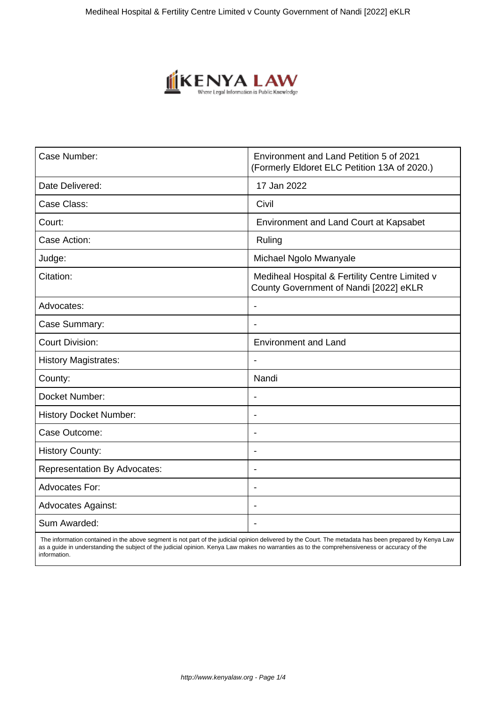

| Case Number:                        | Environment and Land Petition 5 of 2021<br>(Formerly Eldoret ELC Petition 13A of 2020.)  |
|-------------------------------------|------------------------------------------------------------------------------------------|
| Date Delivered:                     | 17 Jan 2022                                                                              |
| Case Class:                         | Civil                                                                                    |
| Court:                              | Environment and Land Court at Kapsabet                                                   |
| Case Action:                        | Ruling                                                                                   |
| Judge:                              | Michael Ngolo Mwanyale                                                                   |
| Citation:                           | Mediheal Hospital & Fertility Centre Limited v<br>County Government of Nandi [2022] eKLR |
| Advocates:                          | ۰                                                                                        |
| Case Summary:                       | $\overline{\phantom{0}}$                                                                 |
| <b>Court Division:</b>              | <b>Environment and Land</b>                                                              |
| <b>History Magistrates:</b>         |                                                                                          |
| County:                             | Nandi                                                                                    |
| Docket Number:                      | $\blacksquare$                                                                           |
| <b>History Docket Number:</b>       |                                                                                          |
| Case Outcome:                       | $\blacksquare$                                                                           |
| <b>History County:</b>              | $\blacksquare$                                                                           |
| <b>Representation By Advocates:</b> | $\blacksquare$                                                                           |
| <b>Advocates For:</b>               | $\blacksquare$                                                                           |
| <b>Advocates Against:</b>           |                                                                                          |
| Sum Awarded:                        |                                                                                          |

 The information contained in the above segment is not part of the judicial opinion delivered by the Court. The metadata has been prepared by Kenya Law as a guide in understanding the subject of the judicial opinion. Kenya Law makes no warranties as to the comprehensiveness or accuracy of the information.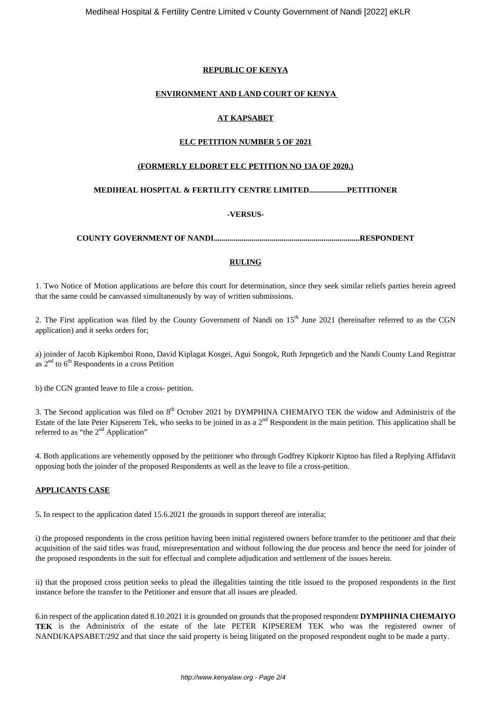## **REPUBLIC OF KENYA**

## **ENVIRONMENT AND LAND COURT OF KENYA**

## **AT KAPSABET**

## **ELC PETITION NUMBER 5 OF 2021**

## **(FORMERLY ELDORET ELC PETITION NO 13A OF 2020.)**

## **MEDIHEAL HOSPITAL & FERTILITY CENTRE LIMITED...................PETITIONER**

## **-VERSUS-**

**COUNTY GOVERNMENT OF NANDI.........................................................................RESPONDENT**

## **RULING**

1. Two Notice of Motion applications are before this court for determination, since they seek similar reliefs parties herein agreed that the same could be canvassed simultaneously by way of written submissions.

2. The First application was filed by the County Government of Nandi on  $15<sup>th</sup>$  June 2021 (hereinafter referred to as the CGN application) and it seeks orders for;

a) joinder of Jacob Kipkemboi Rono, David Kiplagat Kosgei, Agui Songok, Ruth Jepngetich and the Nandi County Land Registrar as  $2<sup>nd</sup>$  to  $6<sup>th</sup>$  Respondents in a cross Petition

b) the CGN granted leave to file a cross- petition.

3. The Second application was filed on 8<sup>th</sup> October 2021 by DYMPHINA CHEMAIYO TEK the widow and Administrix of the Estate of the late Peter Kipserem Tek, who seeks to be joined in as a  $2<sup>nd</sup>$  Respondent in the main petition. This application shall be referred to as "the  $2<sup>nd</sup>$  Application"

4. Both applications are vehemently opposed by the petitioner who through Godfrey Kipkorir Kiptoo has filed a Replying Affidavit opposing both the joinder of the proposed Respondents as well as the leave to file a cross-petition.

#### **APPLICANTS CASE**

5**.** In respect to the application dated 15.6.2021 the grounds in support thereof are interalia;

i) the proposed respondents in the cross petition having been initial registered owners before transfer to the petitioner and that their acquisition of the said titles was fraud, misrepresentation and without following the due process and hence the need for joinder of the proposed respondents in the suit for effectual and complete adjudication and settlement of the issues herein.

ii) that the proposed cross petition seeks to plead the illegalities tainting the title issued to the proposed respondents in the first instance before the transfer to the Petitioner and ensure that all issues are pleaded.

6.in respect of the application dated 8.10.2021 it is grounded on grounds that the proposed respondent **DYMPHINIA CHEMAIYO TEK** is the Administrix of the estate of the late PETER KIPSEREM TEK who was the registered owner of NANDI/KAPSABET/292 and that since the said property is being litigated on the proposed respondent ought to be made a party.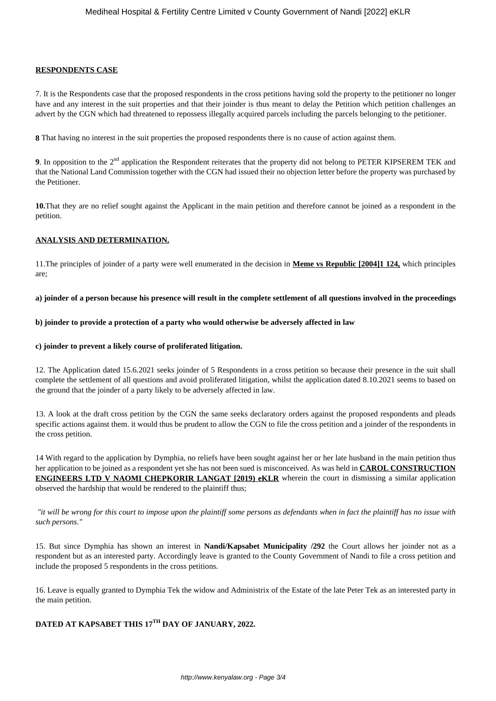#### **RESPONDENTS CASE**

7. It is the Respondents case that the proposed respondents in the cross petitions having sold the property to the petitioner no longer have and any interest in the suit properties and that their joinder is thus meant to delay the Petition which petition challenges an advert by the CGN which had threatened to repossess illegally acquired parcels including the parcels belonging to the petitioner.

**8** That having no interest in the suit properties the proposed respondents there is no cause of action against them.

**9**. In opposition to the 2<sup>nd</sup> application the Respondent reiterates that the property did not belong to PETER KIPSEREM TEK and that the National Land Commission together with the CGN had issued their no objection letter before the property was purchased by the Petitioner.

**10.**That they are no relief sought against the Applicant in the main petition and therefore cannot be joined as a respondent in the petition.

#### **ANALYSIS AND DETERMINATION.**

11.The principles of joinder of a party were well enumerated in the decision in **Meme vs Republic [2004]1 124,** which principles are;

#### **a) joinder of a person because his presence will result in the complete settlement of all questions involved in the proceedings**

#### **b) joinder to provide a protection of a party who would otherwise be adversely affected in law**

#### **c) joinder to prevent a likely course of proliferated litigation.**

12. The Application dated 15.6.2021 seeks joinder of 5 Respondents in a cross petition so because their presence in the suit shall complete the settlement of all questions and avoid proliferated litigation, whilst the application dated 8.10.2021 seems to based on the ground that the joinder of a party likely to be adversely affected in law.

13. A look at the draft cross petition by the CGN the same seeks declaratory orders against the proposed respondents and pleads specific actions against them. it would thus be prudent to allow the CGN to file the cross petition and a joinder of the respondents in the cross petition.

14 With regard to the application by Dymphia, no reliefs have been sought against her or her late husband in the main petition thus her application to be joined as a respondent yet she has not been sued is misconceived. As was held in **CAROL CONSTRUCTION ENGINEERS LTD V NAOMI CHEPKORIR LANGAT [2019) eKLR** wherein the court in dismissing a similar application observed the hardship that would be rendered to the plaintiff thus;

*"it will be wrong for this court to impose upon the plaintiff some persons as defendants when in fact the plaintiff has no issue with such persons."*

15. But since Dymphia has shown an interest in **Nandi/Kapsabet Municipality /292** the Court allows her joinder not as a respondent but as an interested party. Accordingly leave is granted to the County Government of Nandi to file a cross petition and include the proposed 5 respondents in the cross petitions.

16. Leave is equally granted to Dymphia Tek the widow and Administrix of the Estate of the late Peter Tek as an interested party in the main petition.

## **DATED AT KAPSABET THIS 17TH DAY OF JANUARY, 2022.**